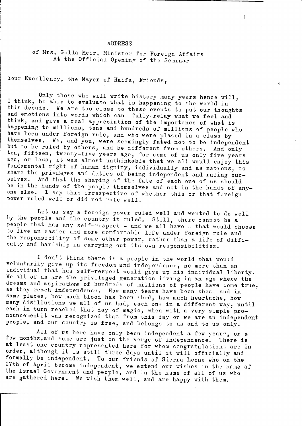## **ADDRESS**

 $\mathbf{1}$ 

of Mrs. Golda Meir, Minister for Foreign Affairs At the Official Opening of the Seminar

Your Excellency, the Mayor of Haifa, Friends,

Only those who will write history many years hence will, I think, be able to evaluate what is happening to the world in this decade. We are too close to these events to put our thoughts and emotions into words which can fully relay what we feel and think, and give a real appreciation of the importance of what is happening to millions, tens and hundreds of millions of people who have been under foreign rule, and who were placed in a class by themselves. We, and you, were seemingly fated not to be independent but to be ruled by others, and be different from others. And only ten, fifteen, twenty-five years ago, for some of us only five years ago, or less, it was almost unthinkable that we all would enjoy this fundamental right of human dignity, individually and as nations, to share the privileges and duties of being independent and ruling our-And that the shaping of the fate of each one of us should  $s$ el $v$ es. be in the hands of the people themselves and not in the hands of anyone else. I say this irrespective of whether this or that foreign power ruled well or did not rule well.

Let us say a foreign power ruled well and wanted to do well by the people and the country it ruled. Still, there cannot be a people that has any self-respect - and we all have - that would choose to live an easier and more comfortable life under foreign rule and the responsibility of some other power, rather than a life of difficulty and hardship in carrying out its own responsibilities.

I don't think there is a people in the world that would voluntarily give up its freedom and independence, no more than an individual that has self-respect would give up his individual liberty. We all of us are the privileged generation living in an age where the dreams and aspirations of hundreds of millions of people have come true, as they reach independence. How many tears have been shed, and in some places, how much blood has been shed, how much heartache, how many disillusions we all of us had, each one in a different way, until each in turn reached that day of magic, when with a very simple pronouncementit was recognized that from this day on we are an independent people, and our country is free, and belongs to us and to us only.

All of us here have only been independent a few years, or a few months, and some are just on the verge of independence. There is at least one country represented here for whom congratulations are in order, although it is still three days until it will officially and formally be independent. To our friends of Sierra Leone who on the 27th of April become independent, we extend our wishes in the name of the Israel Government and people, and in the name of all of us who are gathered here. We wish them well, and are happy with them.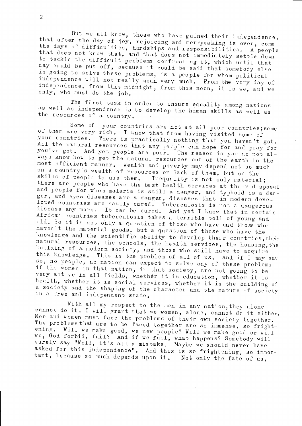But we all know, those who have gained their independence, that after the day of joy, rejoicing and merrymaking is over, come the days of difficulties, hardships and responsibilities. A people that does not know that, and that does not immediately settle down to tackle the difficult problems confronting it, which until that day could be put off, because it could be said that somebody else is going to solve these problems, is a people for whom political independence will not really mean very much. From the very day of independence, from this midnight, from this noon, it is we, and we only, who must do the job.

The first task in order to insure equality among nations as well as independence is to develop the human skills as well as the resources of a country.

your countries are not at all poor countries; some Some of of them are very rich. I know that from having visited some of your countries. There is practically nothing that you haven't got. All the natural resources that any people can hope for and pray for you've got. And yet people are poor. The reason is you do not always know how to get the natural resources out of the earth in the most efficient manner. Wealth and poverty may depend not so much on a country's wealth of resources or lack of them, but on the skills of people to use them. Inequality is not only material; there are people who have the best health services at their disposal and people for whom malaria is still a danger, and typhoid is a danger, and eyes diseases are a danger, diseases that in modern developed countries are easily cured. Tuberculosis is not a dangerous disease any more. It can be cured. And yet I know that in certain African countries tuberculosis takes a terrible toll of young and old. So it is not only a question of those who have and those who haven't the material goods, but a question of those who have the knowledge and the scientific ability to develop their countries, their natural resources, the schools, the health services, the housing, the building of a modern society, and those who still have to acquire this knowledge. This is the problem of all of us. And if I may say so, no people, no nation can expect to solve any of these problems if the women in that nation, in that society, are not going to be very active in all fields, whether it is education, whether it is health, whether it is social services, whether it is the building of a society and the shaping of the character and the nature of society in a free and independent state.

With all my respect to the men in any nation, they alone cannot do it. I will grant that we women, alone, cannot do it either. Men and women must face the problems of their own society together. The problems that are to be faced together are so immense, so frightening. Will we make good, we new people? Will we make good or will we, God forbid, fail? And if we fail, what happens? Somebody will surely say "Well, it's all a mistake. Maybe we should never have asked for this independence". And this is so frightening, so important, because so much depends upon it. Not only the fate of us,

 $\overline{2}$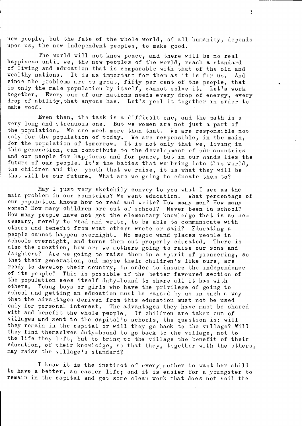new people, but the fate of the whole world, of all humanity, depends upon us, the new independent peoples, to make good.

The world will not know peace, and there will be no real happiness until we, the new peoples of the world, reach a standard of living and education that is comparable with that of the old and wealthy nations. It is as important for them as it is for us. And since the problems are so great, fifty per cent of the people, that<br>is only the male population by itself, cannot solve it. Let's work together. Every one of our nations needs every drop of energy, every drop of ability, that anyone has. Let's pool it together in order to make good.

Even then, the task is a difficult one, and the path is a very long and strenuous one. But we women are not just a part of the population. We are much more than that. We are responsible not only for the population of today. We are responsible, in the main. for the population of tomorrow. It is not only that we, living in this generation, can contribute to the development of our countries and our people for happiness and for peace, but in our nands lies the future of our people. It's the babies that we bring into this world, the children and the youth that we raise, it is what they will be that will be our future. What are we going to educate them to?

May I just very sketchily convey to you what I see as the main problem in our countries? We want education. What percentage of our population knows how to read and write? How many men? How many women? How many children are out of school? Never been in school? How many people have not got the elementary knowledge that is so necessary, merely to read and write, to be able to communicate with others and benefit from what others wrote or said? Educating a people cannot happen overnight. No magic wand places people in schools overnight, and turns them out properly educated. There is also the question, how are we mothers going to raise our sons and daughters? Are we going to raise them in a spirit of pioneering, so that their generation, and maybe their children's like ours, are ready to develop their country, in order to insure the independence of its people? This is possible if the better favoured section of the population sees itself duty-bound to share all it has with others. Young boys or girls who have the privilege of going to school and getting an education must be raised by us in such a way that the advantages derived from this education must not be used only for personal interest. The advantages they have must be shared with and benefit the whole people. If children are taken out of villages and sent to the capital's schools, the question is: will they remain in the capital or will they go back to the village? Will they find themselves duty-bound to go back to the village, not to the life they left, but to bring to the village the benefit of their education, of their knowledge, so that they, together with the others, may raise the village's standard?

I know it is the instinct of every mother to want her child to have a better, an easier life; and it is easier for a youngster to remain in the capital and get some clean work that does not soil the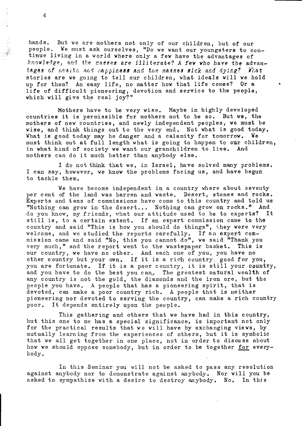hands. But we are mothers not only of our children, but of our people. We must ask ourselves, "Do we want our youngsters to continue living in a world where only a few have the advantages of knowledge, and the masses are illiterate? A few who have the advantages of nealth and napolness and the masses sick and dying? What stories are we going to tell our children, what ideals will we hold up for them? An easy life, no matter how that life comes? Or a life of difficult pioneering, devotion and service to the people, which will give the real joy?"

Mothers have to be very wise. Maybe in highly developed countries it is permissible for mothers not to be so. But we, the mothers of new countries, and newly independent peoples, we must be wise, and think things out to the very end. Not what is good today, What is good today may be danger and a calamity for tomorrow. We must think out at full length what is going to happen to our children, in what kind of society we want our granchildren to live. And mothers can do it much better than anybody else.

I do not think that we, in Israel, have solved many problems. I can say, however, we know the problems facing us, and have begun to tackle them.

We have become independent in a country where about seventy per cent of the land was barren and waste. Desert, stones and rocks. Experts and tens of commissions have come to this country and told us "Nothing can grow in the desert... Nothing can grow on rocks." And do you know, my friends, what our attitude used to be to experts? It still is, to a certain extent. If an expert commission came to the country and said "This is how you should do things", they were very welcome, and we studied the reports carefully. If an expert com-<br>mission came and said "No, this you cannot do", we said "Thank you very much," and the report went to the wastepaper basket. This is our country, we have no other. And each one of you, you have no other country but your own. If it is a rich country, good for you, you are fortunate. If it is a poor country, it is still your country, and you have to do the best you can. The greatest natural wealth of any country is not the gold, the diamonds and the iron ore, but the people you have. A people that has a pioneering spirit, that is devoted, can make a poor country rich. A people that is neither pioneering nor devoted to serving the country, can make a rich country poor. It depends entirely upon the people.

This gathering and others that we have had in this country, but this one to me has a special significance, is important not only for the practical results that we will have by exchanging views, by mutually learning from the experiences of others, but it is symbolic that we all get together in one place, not in order to discuss about how we should oppose somebody, but in order to be together for everybody.

In this Seminar you will not be asked to pass any resolution against anybody nor to demonstrate against anybody. Nor will you be asked to sympathize with a desire to destroy anybody. No. In this

 $\overline{4}$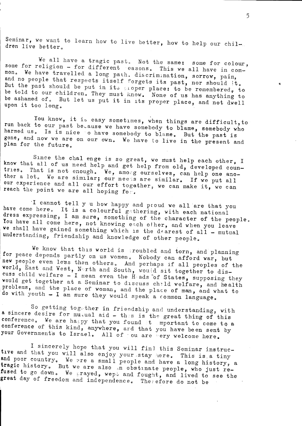Seminar, we want to learn how to live better, how to help our children live better.

We all have a tragic past. Not the same: some for colour. some for religion - for different easons. This we all have in common. We have travelled a long path. discrimination, sorrow, pain, and no people that respects itself forgets its past, nor should it. But the past should be put in its proper place: to be remembered, to be told to our children. They must know. None of us has anything to be ashamed of. But let us put it in its proper place, and not dwell upon it too long.

You know, it is easy sometimes, when things are difficult, to run back to our past because we have somebody to blame, somebody who harmed us. Is is nice to have somebody to blame. But the past is gone, and now we are on our own. We have to live in the present and plan for the future.

Since the chal enge is so great, we must help each other, I know that all of us need help and get help from old, developed countries. That is not enough. We, among ourselves, can help one another a lot. We are similar; our needs are similar. If we put all our experience and all our effort together, we can make it, we can reach the point we are all hoping for.

I cannot tell y u how happy and proud we all are that you have come here. It is a colourful gathering, with each national dress expressing, I am sure, something of the character of the people. You have all come here, not knowing each other, and when you leave we shall have gained something which is the dearest of all - mutual understanding, friendship and knowledge of other people.

We know that this world is groubled and torn, and planning for peace depends partly on us women. Nobody can afford war, but new people even less then others. And perhaps if all peoples of the world, East and West, North and South, would sit together to discuss child welfare - I mean even the Hads of States, supposing they would get together at a Seminar to discuss child welfare, and health problems, and the place of woman, and the place of man, and what to do with youth - I am sure they would speak a common language.

So getting together in friendship and understanding, with a sincere desire for mutual aid - this is the great thing of this conference. We are happy that you found it mportant to come to a conference of this kind, anywhere, and that you have been sent by your Governments to Israel. All of ou are very welcome here.

I sincerely hope that you will find this Seminar instructive and that you will also enjoy your stay here. This is a tiny and poor country. We are a small people and have a long history, a tragic history. But we are also in obstinate people, who just refused to go down. We prayed, wept and fought, and lived to see the great day of freedom and independence. Therefore do not be